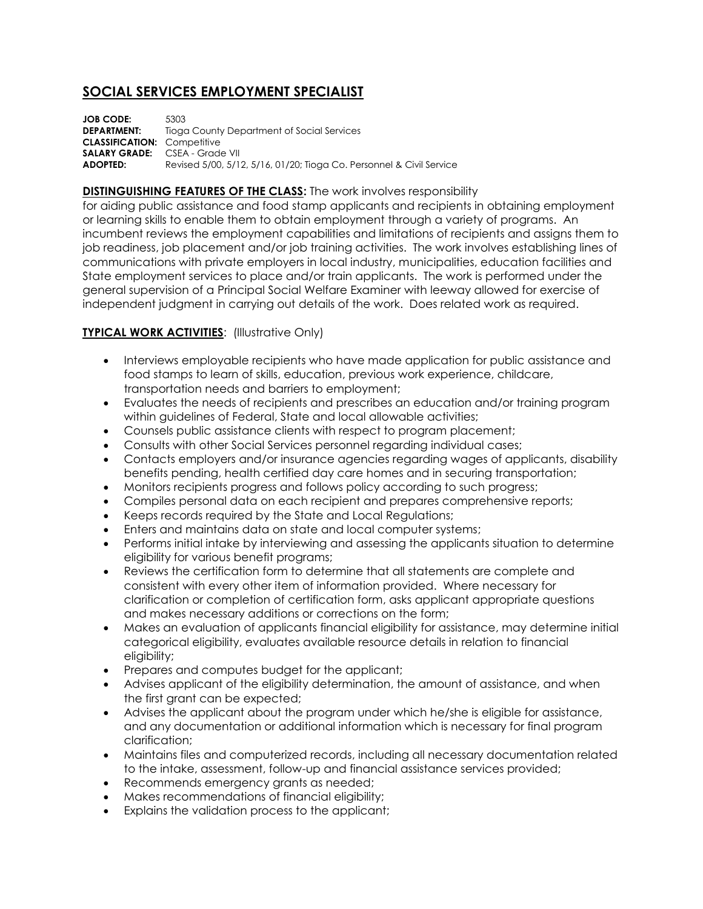# **SOCIAL SERVICES EMPLOYMENT SPECIALIST**

**JOB CODE:** 5303 **DEPARTMENT:** Tioga County Department of Social Services **CLASSIFICATION:** Competitive **SALARY GRADE:** CSEA - Grade VII **ADOPTED:** Revised 5/00, 5/12, 5/16, 01/20; Tioga Co. Personnel & Civil Service

#### **DISTINGUISHING FEATURES OF THE CLASS:** The work involves responsibility

for aiding public assistance and food stamp applicants and recipients in obtaining employment or learning skills to enable them to obtain employment through a variety of programs. An incumbent reviews the employment capabilities and limitations of recipients and assigns them to job readiness, job placement and/or job training activities. The work involves establishing lines of communications with private employers in local industry, municipalities, education facilities and State employment services to place and/or train applicants. The work is performed under the general supervision of a Principal Social Welfare Examiner with leeway allowed for exercise of independent judgment in carrying out details of the work. Does related work as required.

#### **TYPICAL WORK ACTIVITIES: (Illustrative Only)**

- Interviews employable recipients who have made application for public assistance and food stamps to learn of skills, education, previous work experience, childcare, transportation needs and barriers to employment;
- Evaluates the needs of recipients and prescribes an education and/or training program within guidelines of Federal, State and local allowable activities;
- Counsels public assistance clients with respect to program placement;
- Consults with other Social Services personnel regarding individual cases;
- Contacts employers and/or insurance agencies regarding wages of applicants, disability benefits pending, health certified day care homes and in securing transportation;
- Monitors recipients progress and follows policy according to such progress;
- Compiles personal data on each recipient and prepares comprehensive reports;
- Keeps records required by the State and Local Regulations;
- Enters and maintains data on state and local computer systems;
- Performs initial intake by interviewing and assessing the applicants situation to determine eligibility for various benefit programs;
- Reviews the certification form to determine that all statements are complete and consistent with every other item of information provided. Where necessary for clarification or completion of certification form, asks applicant appropriate questions and makes necessary additions or corrections on the form;
- Makes an evaluation of applicants financial eligibility for assistance, may determine initial categorical eligibility, evaluates available resource details in relation to financial eligibility;
- Prepares and computes budget for the applicant;
- Advises applicant of the eligibility determination, the amount of assistance, and when the first grant can be expected;
- Advises the applicant about the program under which he/she is eligible for assistance, and any documentation or additional information which is necessary for final program clarification;
- Maintains files and computerized records, including all necessary documentation related to the intake, assessment, follow-up and financial assistance services provided;
- Recommends emergency grants as needed;
- Makes recommendations of financial eligibility;
- Explains the validation process to the applicant;